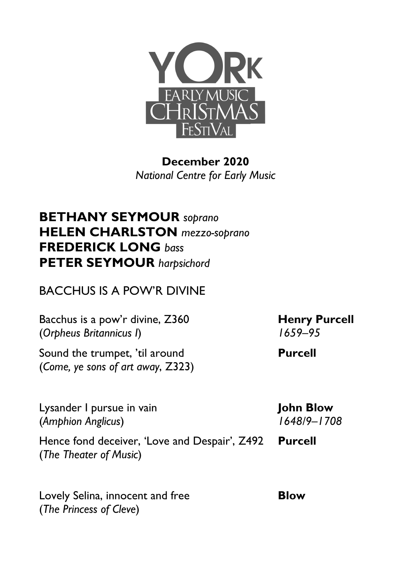

**December 2020** *National Centre for Early Music*

## **BETHANY SEYMOUR** *soprano* **HELEN CHARLSTON** *mezzo-soprano* **FREDERICK LONG** *bass* **PETER SEYMOUR** *harpsichord*

## BACCHUS IS A POW'R DIVINE

Bacchus is a pow'r divine, Z360 (*Orpheus Britannicus I*)

Sound the trumpet, 'til around (*Come, ye sons of art away*, Z323)

Lysander I pursue in vain (*Amphion Anglicus*)

Hence fond deceiver, 'Love and Despair', Z492 (*The Theater of Music*)

Lovely Selina, innocent and free (*The Princess of Cleve*)

**Henry Purcell**  *1659–95*

**Purcell**

**John Blow**  *1648/9–1708*

**Purcell**

**Blow**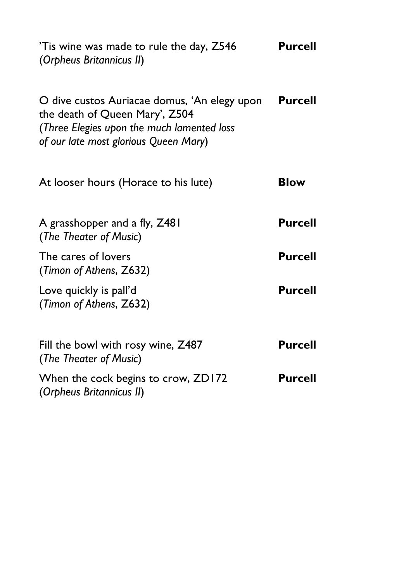| Tis wine was made to rule the day, Z546<br>(Orpheus Britannicus II)                                                                                                   | <b>Purcell</b> |
|-----------------------------------------------------------------------------------------------------------------------------------------------------------------------|----------------|
| O dive custos Auriacae domus, 'An elegy upon<br>the death of Queen Mary', Z504<br>(Three Elegies upon the much lamented loss<br>of our late most glorious Queen Mary) | <b>Purcell</b> |
| At looser hours (Horace to his lute)                                                                                                                                  | <b>Blow</b>    |
| A grasshopper and a fly, Z481<br>(The Theater of Music)                                                                                                               | <b>Purcell</b> |
| The cares of lovers<br>(Timon of Athens, Z632)                                                                                                                        | <b>Purcell</b> |
| Love quickly is pall'd<br>(Timon of Athens, Z632)                                                                                                                     | <b>Purcell</b> |
| Fill the bowl with rosy wine, Z487<br>(The Theater of Music)                                                                                                          | Purcell        |
| When the cock begins to crow, ZD172<br>(Orpheus Britannicus II)                                                                                                       | <b>Purcell</b> |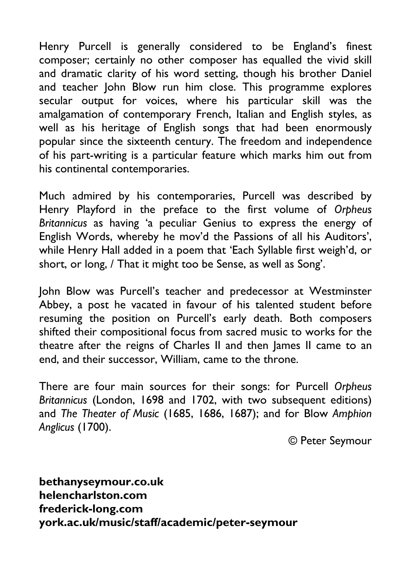Henry Purcell is generally considered to be England's finest composer; certainly no other composer has equalled the vivid skill and dramatic clarity of his word setting, though his brother Daniel and teacher John Blow run him close. This programme explores secular output for voices, where his particular skill was the amalgamation of contemporary French, Italian and English styles, as well as his heritage of English songs that had been enormously popular since the sixteenth century. The freedom and independence of his part-writing is a particular feature which marks him out from his continental contemporaries.

Much admired by his contemporaries, Purcell was described by Henry Playford in the preface to the first volume of *Orpheus Britannicus* as having 'a peculiar Genius to express the energy of English Words, whereby he mov'd the Passions of all his Auditors', while Henry Hall added in a poem that 'Each Syllable first weigh'd, or short, or long, / That it might too be Sense, as well as Song'.

John Blow was Purcell's teacher and predecessor at Westminster Abbey, a post he vacated in favour of his talented student before resuming the position on Purcell's early death. Both composers shifted their compositional focus from sacred music to works for the theatre after the reigns of Charles II and then James II came to an end, and their successor, William, came to the throne.

There are four main sources for their songs: for Purcell *Orpheus Britannicus* (London, 1698 and 1702, with two subsequent editions) and *The Theater of Music* (1685, 1686, 1687); and for Blow *Amphion Anglicus* (1700).

© Peter Seymour

**bethanyseymour.co.uk helencharlston.com frederick-long.com york.ac.uk/music/staff/academic/peter-seymour**